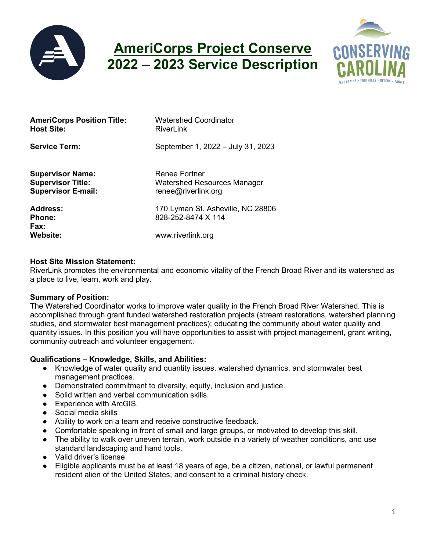

# **AmeriCorps Project Conserve 2022 – 2023 Service Description**



| <b>AmeriCorps Position Title:</b><br><b>Host Site:</b>                           | <b>Watershed Coordinator</b><br>RiverLink                                  |
|----------------------------------------------------------------------------------|----------------------------------------------------------------------------|
| <b>Service Term:</b>                                                             | September 1, 2022 - July 31, 2023                                          |
| <b>Supervisor Name:</b><br><b>Supervisor Title:</b><br><b>Supervisor E-mail:</b> | Renee Fortner<br><b>Watershed Resources Manager</b><br>renee@riverlink.org |
| Address:<br><b>Phone:</b><br>Fax:                                                | 170 Lyman St. Asheville, NC 28806<br>828-252-8474 X 114                    |
| <b>Website:</b>                                                                  | www.riverlink.org                                                          |

#### **Host Site Mission Statement:**

RiverLink promotes the environmental and economic vitality of the French Broad River and its watershed as a place to live, learn, work and play.

#### **Summary of Position:**

The Watershed Coordinator works to improve water quality in the French Broad River Watershed. This is accomplished through grant funded watershed restoration projects (stream restorations, watershed planning studies, and stormwater best management practices); educating the community about water quality and quantity issues. In this position you will have opportunities to assist with project management, grant writing, community outreach and volunteer engagement.

#### **Qualifications – Knowledge, Skills, and Abilities:**

- Knowledge of water quality and quantity issues, watershed dynamics, and stormwater best management practices.
- Demonstrated commitment to diversity, equity, inclusion and justice.
- Solid written and verbal communication skills.
- Experience with ArcGIS.
- Social media skills
- Ability to work on a team and receive constructive feedback.
- Comfortable speaking in front of small and large groups, or motivated to develop this skill.
- The ability to walk over uneven terrain, work outside in a variety of weather conditions, and use standard landscaping and hand tools.
- Valid driver's license
- Eligible applicants must be at least 18 years of age, be a citizen, national, or lawful permanent resident alien of the United States, and consent to a criminal history check.